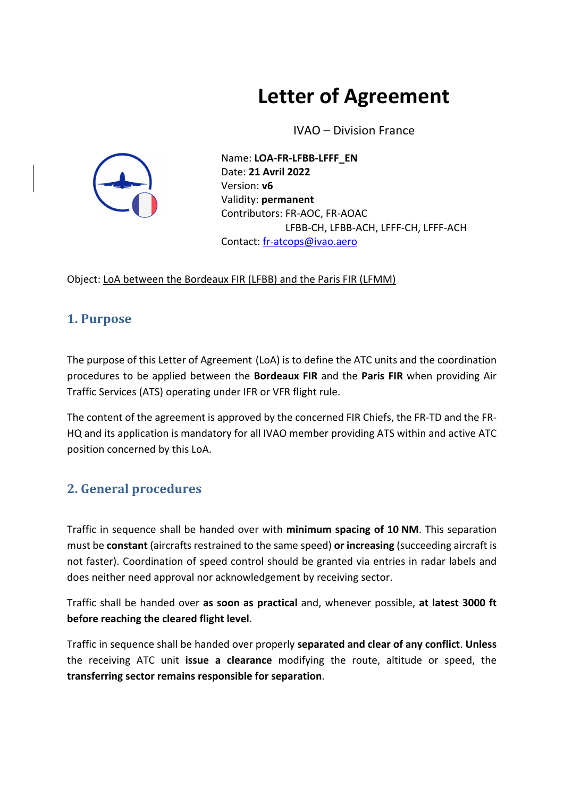# **Letter of Agreement**

IVAO – Division France



Name: **LOA‐FR‐LFBB‐LFFF\_EN** Date: **21 Avril 2022** Version: **v6** Validity: **permanent** Contributors: FR‐AOC, FR‐AOAC LFBB‐CH, LFBB‐ACH, LFFF‐CH, LFFF‐ACH Contact: fr‐atcops@ivao.aero

Object: LoA between the Bordeaux FIR (LFBB) and the Paris FIR (LFMM)

#### **1. Purpose**

The purpose of this Letter of Agreement (LoA) is to define the ATC units and the coordination procedures to be applied between the **Bordeaux FIR** and the **Paris FIR** when providing Air Traffic Services (ATS) operating under IFR or VFR flight rule.

The content of the agreement is approved by the concerned FIR Chiefs, the FR‐TD and the FR‐ HQ and its application is mandatory for all IVAO member providing ATS within and active ATC position concerned by this LoA.

#### **2. General procedures**

Traffic in sequence shall be handed over with **minimum spacing of 10 NM**. This separation must be **constant** (aircrafts restrained to the same speed) **or increasing** (succeeding aircraft is not faster). Coordination of speed control should be granted via entries in radar labels and does neither need approval nor acknowledgement by receiving sector.

Traffic shall be handed over **as soon as practical** and, whenever possible, **at latest 3000 ft before reaching the cleared flight level**.

Traffic in sequence shall be handed over properly **separated and clear of any conflict**. **Unless** the receiving ATC unit **issue a clearance** modifying the route, altitude or speed, the **transferring sector remains responsible for separation**.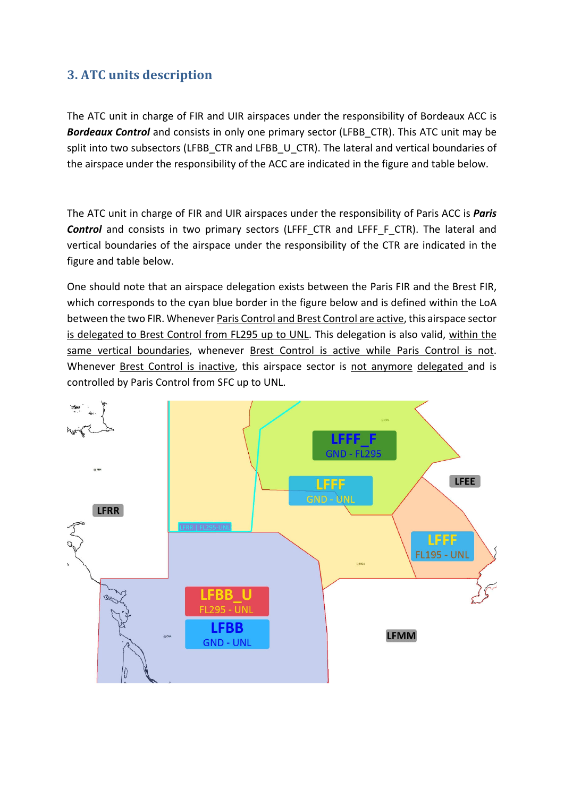#### **3. ATC units description**

The ATC unit in charge of FIR and UIR airspaces under the responsibility of Bordeaux ACC is *Bordeaux Control* and consists in only one primary sector (LFBB\_CTR). This ATC unit may be split into two subsectors (LFBB\_CTR and LFBB\_U\_CTR). The lateral and vertical boundaries of the airspace under the responsibility of the ACC are indicated in the figure and table below.

The ATC unit in charge of FIR and UIR airspaces under the responsibility of Paris ACC is *Paris* **Control** and consists in two primary sectors (LFFF CTR and LFFF F CTR). The lateral and vertical boundaries of the airspace under the responsibility of the CTR are indicated in the figure and table below.

One should note that an airspace delegation exists between the Paris FIR and the Brest FIR, which corresponds to the cyan blue border in the figure below and is defined within the LoA between the two FIR. Whenever Paris Control and Brest Control are active, this airspace sector is delegated to Brest Control from FL295 up to UNL. This delegation is also valid, within the same vertical boundaries, whenever Brest Control is active while Paris Control is not. Whenever Brest Control is inactive, this airspace sector is not anymore delegated and is controlled by Paris Control from SFC up to UNL.

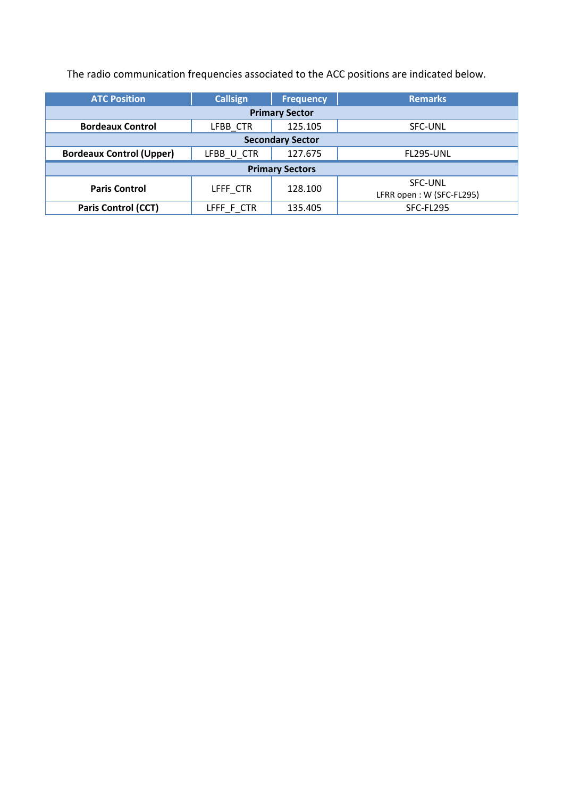The radio communication frequencies associated to the ACC positions are indicated below.

| <b>ATC Position</b>             | <b>Callsign</b> | <b>Frequency</b> | <b>Remarks</b>                             |  |  |  |  |  |
|---------------------------------|-----------------|------------------|--------------------------------------------|--|--|--|--|--|
| <b>Primary Sector</b>           |                 |                  |                                            |  |  |  |  |  |
| <b>Bordeaux Control</b>         | LFBB CTR        | 125.105          | <b>SFC-UNL</b>                             |  |  |  |  |  |
| <b>Secondary Sector</b>         |                 |                  |                                            |  |  |  |  |  |
| <b>Bordeaux Control (Upper)</b> | LFBB U CTR      | 127.675          | <b>FL295-UNL</b>                           |  |  |  |  |  |
| <b>Primary Sectors</b>          |                 |                  |                                            |  |  |  |  |  |
| <b>Paris Control</b>            | LFFF CTR        | 128.100          | <b>SFC-UNL</b><br>LFRR open: W (SFC-FL295) |  |  |  |  |  |
| <b>Paris Control (CCT)</b>      | LFFF F CTR      | 135.405          | SFC-FL295                                  |  |  |  |  |  |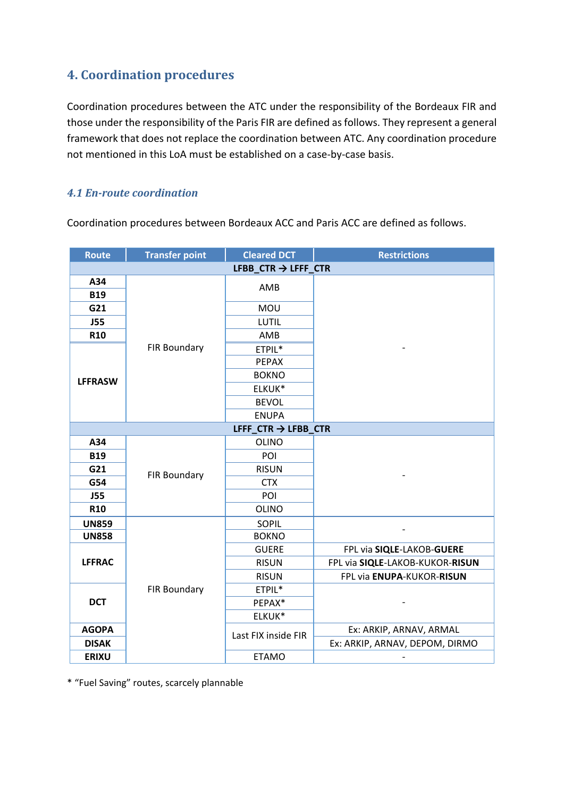#### **4. Coordination procedures**

Coordination procedures between the ATC under the responsibility of the Bordeaux FIR and those under the responsibility of the Paris FIR are defined as follows. They represent a general framework that does not replace the coordination between ATC. Any coordination procedure not mentioned in this LoA must be established on a case‐by‐case basis.

#### *4.1 En‐route coordination*

Coordination procedures between Bordeaux ACC and Paris ACC are defined as follows.

| <b>Route</b>                    | <b>Transfer point</b> | <b>Cleared DCT</b>              | <b>Restrictions</b>             |  |  |  |  |
|---------------------------------|-----------------------|---------------------------------|---------------------------------|--|--|--|--|
| LFBB_CTR $\rightarrow$ LFFF_CTR |                       |                                 |                                 |  |  |  |  |
| A34                             |                       | AMB                             |                                 |  |  |  |  |
| <b>B19</b>                      |                       |                                 |                                 |  |  |  |  |
| G21                             |                       | MOU                             |                                 |  |  |  |  |
| <b>J55</b>                      |                       | LUTIL                           |                                 |  |  |  |  |
| R <sub>10</sub>                 |                       | AMB                             |                                 |  |  |  |  |
|                                 | <b>FIR Boundary</b>   | ETPIL*                          |                                 |  |  |  |  |
|                                 |                       | <b>PEPAX</b>                    |                                 |  |  |  |  |
| <b>LFFRASW</b>                  |                       | <b>BOKNO</b>                    |                                 |  |  |  |  |
|                                 |                       | ELKUK*                          |                                 |  |  |  |  |
|                                 |                       | <b>BEVOL</b>                    |                                 |  |  |  |  |
|                                 |                       | <b>ENUPA</b>                    |                                 |  |  |  |  |
|                                 |                       | LFFF $CTR \rightarrow LFBB$ CTR |                                 |  |  |  |  |
| A34                             |                       | <b>OLINO</b>                    |                                 |  |  |  |  |
| <b>B19</b>                      |                       | POI                             |                                 |  |  |  |  |
| G21                             | FIR Boundary          | <b>RISUN</b>                    |                                 |  |  |  |  |
| G54                             |                       | <b>CTX</b>                      |                                 |  |  |  |  |
| <b>J55</b>                      |                       | POI                             |                                 |  |  |  |  |
| <b>R10</b>                      |                       | <b>OLINO</b>                    |                                 |  |  |  |  |
| <b>UN859</b>                    |                       | <b>SOPIL</b>                    |                                 |  |  |  |  |
| <b>UN858</b>                    |                       | <b>BOKNO</b>                    |                                 |  |  |  |  |
| <b>LFFRAC</b>                   | FIR Boundary          | <b>GUERE</b>                    | FPL via SIQLE-LAKOB-GUERE       |  |  |  |  |
|                                 |                       | <b>RISUN</b>                    | FPL via SIQLE-LAKOB-KUKOR-RISUN |  |  |  |  |
|                                 |                       | <b>RISUN</b>                    | FPL via ENUPA-KUKOR-RISUN       |  |  |  |  |
| <b>DCT</b>                      |                       | ETPIL*                          |                                 |  |  |  |  |
|                                 |                       | PEPAX*                          |                                 |  |  |  |  |
|                                 |                       | ELKUK*                          |                                 |  |  |  |  |
| <b>AGOPA</b>                    | Last FIX inside FIR   |                                 | Ex: ARKIP, ARNAV, ARMAL         |  |  |  |  |
| <b>DISAK</b>                    |                       |                                 | Ex: ARKIP, ARNAV, DEPOM, DIRMO  |  |  |  |  |
| <b>ERIXU</b>                    |                       | <b>ETAMO</b>                    |                                 |  |  |  |  |

\* "Fuel Saving" routes, scarcely plannable